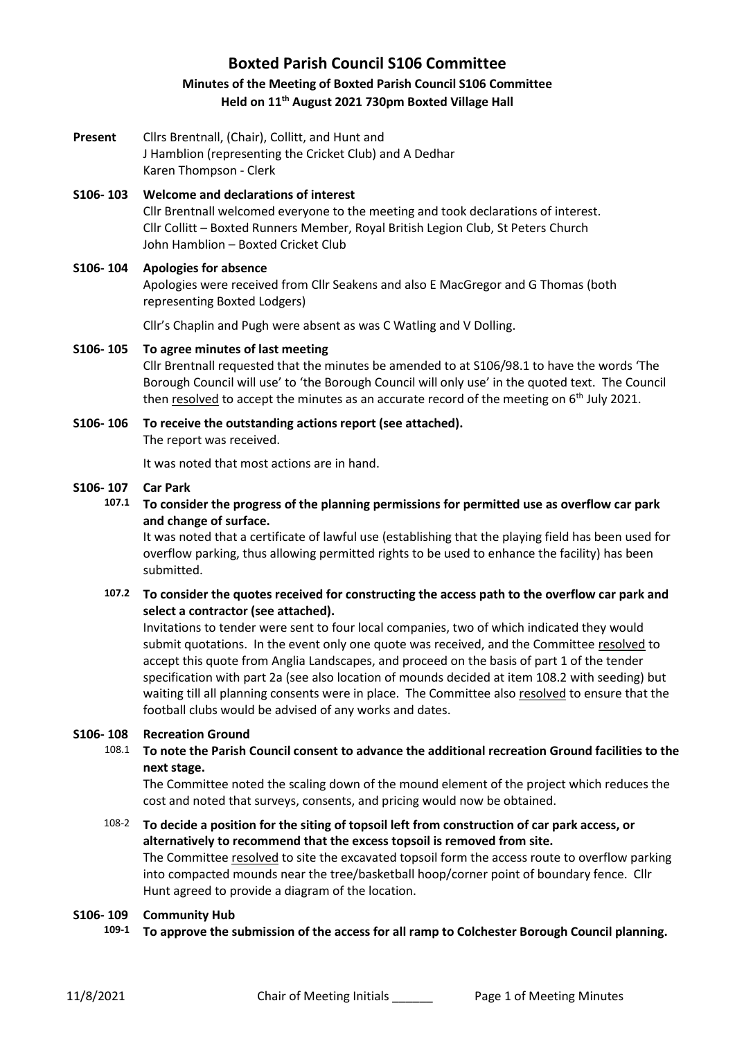# **Boxted Parish Council S106 Committee Minutes of the Meeting of Boxted Parish Council S106 Committee Held on 11th August 2021 730pm Boxted Village Hall**

**Present** Cllrs Brentnall, (Chair), Collitt, and Hunt and J Hamblion (representing the Cricket Club) and A Dedhar Karen Thompson - Clerk

## **S106- 103 Welcome and declarations of interest** Cllr Brentnall welcomed everyone to the meeting and took declarations of interest. Cllr Collitt – Boxted Runners Member, Royal British Legion Club, St Peters Church John Hamblion – Boxted Cricket Club

## **S106- 104 Apologies for absence**

Apologies were received from Cllr Seakens and also E MacGregor and G Thomas (both representing Boxted Lodgers)

Cllr's Chaplin and Pugh were absent as was C Watling and V Dolling.

## **S106- 105 To agree minutes of last meeting**

Cllr Brentnall requested that the minutes be amended to at S106/98.1 to have the words 'The Borough Council will use' to 'the Borough Council will only use' in the quoted text. The Council then resolved to accept the minutes as an accurate record of the meeting on  $6<sup>th</sup>$  July 2021.

**S106- 106 To receive the outstanding actions report (see attached).** The report was received.

It was noted that most actions are in hand.

## **S106- 107 Car Park**

**107.1 To consider the progress of the planning permissions for permitted use as overflow car park and change of surface.**

It was noted that a certificate of lawful use (establishing that the playing field has been used for overflow parking, thus allowing permitted rights to be used to enhance the facility) has been submitted.

**107.2 To consider the quotes received for constructing the access path to the overflow car park and select a contractor (see attached).**

Invitations to tender were sent to four local companies, two of which indicated they would submit quotations. In the event only one quote was received, and the Committee resolved to accept this quote from Anglia Landscapes, and proceed on the basis of part 1 of the tender specification with part 2a (see also location of mounds decided at item 108.2 with seeding) but waiting till all planning consents were in place. The Committee also resolved to ensure that the football clubs would be advised of any works and dates.

# **S106- 108 Recreation Ground**

108.1 **To note the Parish Council consent to advance the additional recreation Ground facilities to the next stage.** 

The Committee noted the scaling down of the mound element of the project which reduces the cost and noted that surveys, consents, and pricing would now be obtained.

108-2 **To decide a position for the siting of topsoil left from construction of car park access, or alternatively to recommend that the excess topsoil is removed from site.** The Committee resolved to site the excavated topsoil form the access route to overflow parking into compacted mounds near the tree/basketball hoop/corner point of boundary fence. Cllr Hunt agreed to provide a diagram of the location.

### **S106- 109 Community Hub**

**109-1 To approve the submission of the access for all ramp to Colchester Borough Council planning.**